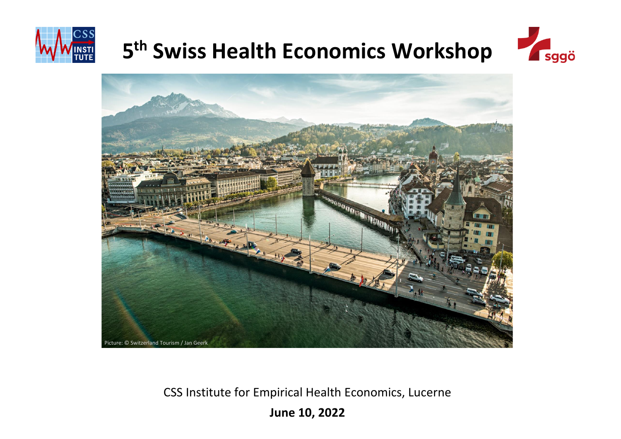

# **5 th Swiss Health Economics Workshop**





CSS Institute for Empirical Health Economics, Lucerne

**June 10, 2022**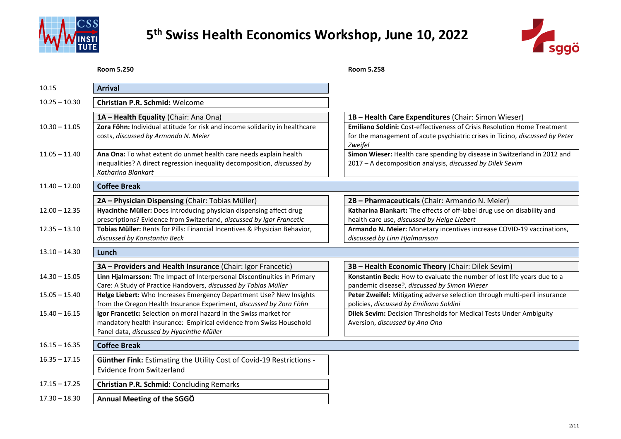



#### **Room 5.250 Room 5.258**

| 10.15           | <b>Arrival</b>                                                                                                                                                                        |                                                                                                                                                                            |
|-----------------|---------------------------------------------------------------------------------------------------------------------------------------------------------------------------------------|----------------------------------------------------------------------------------------------------------------------------------------------------------------------------|
| $10.25 - 10.30$ | <b>Christian P.R. Schmid: Welcome</b>                                                                                                                                                 |                                                                                                                                                                            |
|                 | 1A - Health Equality (Chair: Ana Ona)                                                                                                                                                 | 1B - Health Care Expenditures (Chair: Simon Wieser)                                                                                                                        |
| $10.30 - 11.05$ | Zora Föhn: Individual attitude for risk and income solidarity in healthcare<br>costs, discussed by Armando N. Meier                                                                   | <b>Emiliano Soldini:</b> Cost-effectiveness of Crisis Resolution Home Treatment<br>for the management of acute psychiatric crises in Ticino, discussed by Peter<br>Zweifel |
| $11.05 - 11.40$ | Ana Ona: To what extent do unmet health care needs explain health<br>inequalities? A direct regression inequality decomposition, discussed by<br>Katharina Blankart                   | Simon Wieser: Health care spending by disease in Switzerland in 2012 and<br>2017 - A decomposition analysis, discussed by Dilek Sevim                                      |
| $11.40 - 12.00$ | <b>Coffee Break</b>                                                                                                                                                                   |                                                                                                                                                                            |
|                 | 2A - Physician Dispensing (Chair: Tobias Müller)                                                                                                                                      | 2B - Pharmaceuticals (Chair: Armando N. Meier)                                                                                                                             |
| $12.00 - 12.35$ | Hyacinthe Müller: Does introducing physician dispensing affect drug<br>prescriptions? Evidence from Switzerland, discussed by Igor Francetic                                          | Katharina Blankart: The effects of off-label drug use on disability and<br>health care use, discussed by Helge Liebert                                                     |
| $12.35 - 13.10$ | Tobias Müller: Rents for Pills: Financial Incentives & Physician Behavior,<br>discussed by Konstantin Beck                                                                            | Armando N. Meier: Monetary incentives increase COVID-19 vaccinations,<br>discussed by Linn Hjalmarsson                                                                     |
| $13.10 - 14.30$ | Lunch                                                                                                                                                                                 |                                                                                                                                                                            |
|                 | 3A - Providers and Health Insurance (Chair: Igor Francetic)                                                                                                                           | 3B - Health Economic Theory (Chair: Dilek Sevim)                                                                                                                           |
| $14.30 - 15.05$ | Linn Hjalmarsson: The Impact of Interpersonal Discontinuities in Primary<br>Care: A Study of Practice Handovers, discussed by Tobias Müller                                           | Konstantin Beck: How to evaluate the number of lost life years due to a<br>pandemic disease?, discussed by Simon Wieser                                                    |
| $15.05 - 15.40$ | Helge Liebert: Who Increases Emergency Department Use? New Insights<br>from the Oregon Health Insurance Experiment, discussed by Zora Föhn                                            | Peter Zweifel: Mitigating adverse selection through multi-peril insurance<br>policies, discussed by Emiliano Soldini                                                       |
| $15.40 - 16.15$ | Igor Francetic: Selection on moral hazard in the Swiss market for<br>mandatory health insurance: Empirical evidence from Swiss Household<br>Panel data, discussed by Hyacinthe Müller | Dilek Sevim: Decision Thresholds for Medical Tests Under Ambiguity<br>Aversion, discussed by Ana Ona                                                                       |
| $16.15 - 16.35$ | <b>Coffee Break</b>                                                                                                                                                                   |                                                                                                                                                                            |
| $16.35 - 17.15$ | <b>Günther Fink: Estimating the Utility Cost of Covid-19 Restrictions -</b><br><b>Evidence from Switzerland</b>                                                                       |                                                                                                                                                                            |
| $17.15 - 17.25$ | <b>Christian P.R. Schmid: Concluding Remarks</b>                                                                                                                                      |                                                                                                                                                                            |
| $17.30 - 18.30$ | Annual Meeting of the SGGO                                                                                                                                                            |                                                                                                                                                                            |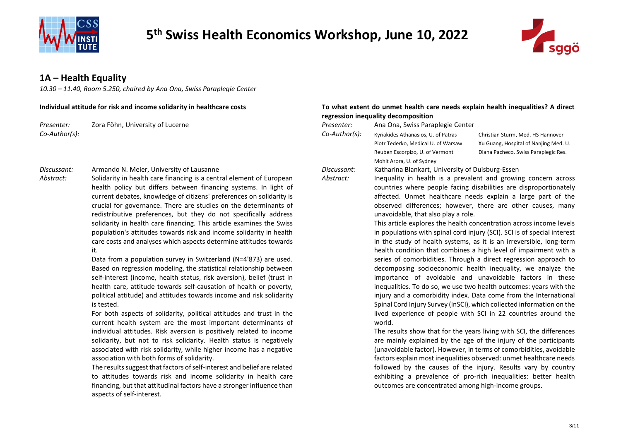



### **1A – Health Equality**

*10.30 – 11.40, Room 5.250, chaired by Ana Ona, Swiss Paraplegie Center*

*Presenter:* Zora Föhn, University of Lucerne *Presenter:* Ana Ona, Swiss Paraplegie Center *Co-Author(s): Co-Author(s):* Kyriakides Athanasios, U. of Patras

#### *Discussant:* Armando N. Meier, University of Lausanne *Discussant:* Katharina Blankart, University of Duisburg-Essen

*Abstract:* Solidarity in health care financing is a central element of European health policy but differs between financing systems. In light of current debates, knowledge of citizens' preferences on solidarity is crucial for governance. There are studies on the determinants of redistributive preferences, but they do not specifically address solidarity in health care financing. This article examines the Swiss population's attitudes towards risk and income solidarity in health care costs and analyses which aspects determine attitudes towards it.

> Data from a population survey in Switzerland (N=4'873) are used. Based on regression modeling, the statistical relationship between self-interest (income, health status, risk aversion), belief (trust in health care, attitude towards self-causation of health or poverty, political attitude) and attitudes towards income and risk solidarity is tested.

> For both aspects of solidarity, political attitudes and trust in the current health system are the most important determinants of individual attitudes. Risk aversion is positively related to income solidarity, but not to risk solidarity. Health status is negatively associated with risk solidarity, while higher income has a negative association with both forms of solidarity.

> The results suggest that factors of self-interest and belief are related to attitudes towards risk and income solidarity in health care financing, but that attitudinal factors have a stronger influence than aspects of self-interest.

#### **Individual attitude for risk and income solidarity in healthcare costs To what extent do unmet health care needs explain health inequalities? A direct regression inequality decomposition**

Piotr Tederko, Medical U. of Warsaw Reuben Escorpizo, U. of Vermont Mohit Arora, U. of Sydney

Christian Sturm, Med. HS Hannover Xu Guang, Hospital of Nanjing Med. U. Diana Pacheco, Swiss Paraplegic Res.

*Abstract:* Inequality in health is a prevalent and growing concern across countries where people facing disabilities are disproportionately

affected. Unmet healthcare needs explain a large part of the observed differences; however, there are other causes, many unavoidable, that also play a role.

This article explores the health concentration across income levels in populations with spinal cord injury (SCI). SCI is of special interest in the study of health systems, as it is an irreversible, long-term health condition that combines a high level of impairment with a series of comorbidities. Through a direct regression approach to decomposing socioeconomic health inequality, we analyze the importance of avoidable and unavoidable factors in these inequalities. To do so, we use two health outcomes: years with the injury and a comorbidity index. Data come from the International Spinal Cord Injury Survey (InSCI), which collected information on the lived experience of people with SCI in 22 countries around the world.

The results show that for the years living with SCI, the differences are mainly explained by the age of the injury of the participants (unavoidable factor). However, in terms of comorbidities, avoidable factors explain most inequalities observed: unmet healthcare needs followed by the causes of the injury. Results vary by country exhibiting a prevalence of pro-rich inequalities: better health outcomes are concentrated among high-income groups.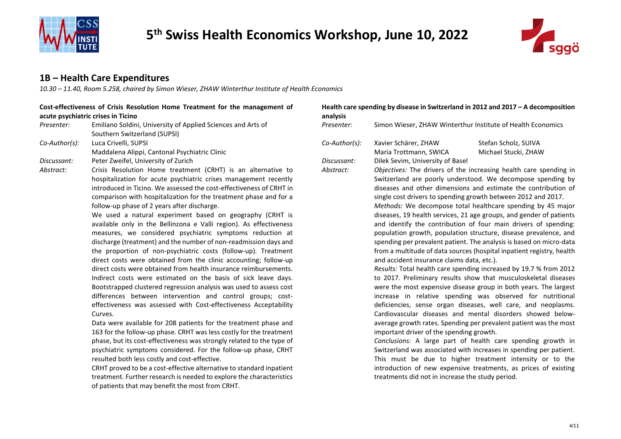



### **1B – Health Care Expenditures**

*10.30 – 11.40, Room 5.258, chaired by Simon Wieser, ZHAW Winterthur Institute of Health Economics*

#### **Cost-effectiveness of Crisis Resolution Home Treatment for the management of acute psychiatric crises in Ticino**

*Presenter:* Emiliano Soldini, University of Applied Sciences and Arts of Southern Switzerland (SUPSI) *Co-Author(s):* Luca Crivelli, SUPSI

Maddalena Alippi, Cantonal Psychiatric Clinic

- *Discussant:* Peter Zweifel, University of Zurich
- *Abstract:* Crisis Resolution Home treatment (CRHT) is an alternative to hospitalization for acute psychiatric crises management recently introduced in Ticino. We assessed the cost-effectiveness of CRHT in comparison with hospitalization for the treatment phase and for a follow-up phase of 2 years after discharge.

We used a natural experiment based on geography (CRHT is available only in the Bellinzona e Valli region). As effectiveness measures, we considered psychiatric symptoms reduction at discharge (treatment) and the number of non-readmission days and the proportion of non-psychiatric costs (follow-up). Treatment direct costs were obtained from the clinic accounting; follow-up direct costs were obtained from health insurance reimbursements. Indirect costs were estimated on the basis of sick leave days. Bootstrapped clustered regression analysis was used to assess cost differences between intervention and control groups; costeffectiveness was assessed with Cost-effectiveness Acceptability Curves.

Data were available for 208 patients for the treatment phase and 163 for the follow-up phase. CRHT was less costly for the treatment phase, but its cost-effectiveness was strongly related to the type of psychiatric symptoms considered. For the follow-up phase, CRHT resulted both less costly and cost-effective.

CRHT proved to be a cost-effective alternative to standard inpatient treatment. Further research is needed to explore the characteristics of patients that may benefit the most from CRHT.

| Health care spending by disease in Switzerland in 2012 and 2017 - A decomposition<br>analysis |                                                                                                                                                                                                                                                                                                                                                                                                                                                                                                                                                                                                                                                                                                                                                                                                                                                |                      |
|-----------------------------------------------------------------------------------------------|------------------------------------------------------------------------------------------------------------------------------------------------------------------------------------------------------------------------------------------------------------------------------------------------------------------------------------------------------------------------------------------------------------------------------------------------------------------------------------------------------------------------------------------------------------------------------------------------------------------------------------------------------------------------------------------------------------------------------------------------------------------------------------------------------------------------------------------------|----------------------|
| Presenter:                                                                                    | Simon Wieser, ZHAW Winterthur Institute of Health Economics                                                                                                                                                                                                                                                                                                                                                                                                                                                                                                                                                                                                                                                                                                                                                                                    |                      |
| Co-Author(s):                                                                                 | Xavier Schärer, ZHAW                                                                                                                                                                                                                                                                                                                                                                                                                                                                                                                                                                                                                                                                                                                                                                                                                           | Stefan Scholz, SUIVA |
|                                                                                               | Maria Trottmann, SWICA                                                                                                                                                                                                                                                                                                                                                                                                                                                                                                                                                                                                                                                                                                                                                                                                                         | Michael Stucki, ZHAW |
| Discussant:                                                                                   | Dilek Sevim, University of Basel                                                                                                                                                                                                                                                                                                                                                                                                                                                                                                                                                                                                                                                                                                                                                                                                               |                      |
| Abstract:                                                                                     | Objectives: The drivers of the increasing health care spending in<br>Switzerland are poorly understood. We decompose spending by<br>diseases and other dimensions and estimate the contribution of<br>single cost drivers to spending growth between 2012 and 2017.<br>Methods: We decompose total healthcare spending by 45 major<br>diseases, 19 health services, 21 age groups, and gender of patients<br>and identify the contribution of four main drivers of spending:<br>population growth, population structure, disease prevalence, and<br>spending per prevalent patient. The analysis is based on micro-data<br>from a multitude of data sources (hospital inpatient registry, health<br>and accident insurance claims data, etc.).                                                                                                 |                      |
|                                                                                               | Results: Total health care spending increased by 19.7 % from 2012<br>to 2017. Preliminary results show that musculoskeletal diseases<br>were the most expensive disease group in both years. The largest<br>increase in relative spending was observed for nutritional<br>deficiencies, sense organ diseases, well care, and neoplasms.<br>Cardiovascular diseases and mental disorders showed below-<br>average growth rates. Spending per prevalent patient was the most<br>important driver of the spending growth.<br>Conclusions: A large part of health care spending growth in<br>Switzerland was associated with increases in spending per patient.<br>This must be due to higher treatment intensity or to the<br>introduction of new expensive treatments, as prices of existing<br>treatments did not in increase the study period. |                      |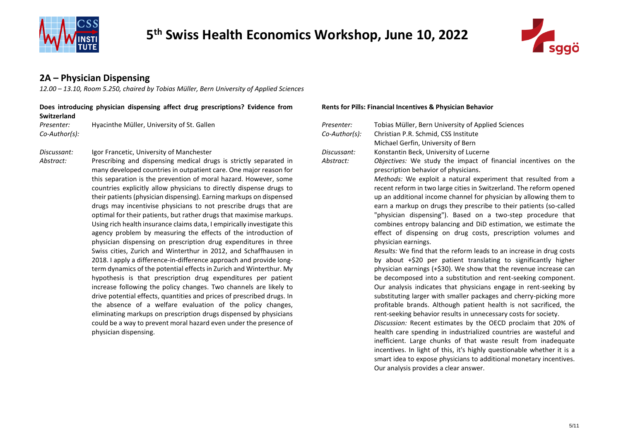



### **2A – Physician Dispensing**

*12.00 – 13.10, Room 5.250, chaired by Tobias Müller, Bern University of Applied Sciences*

#### **Does introducing physician dispensing affect drug prescriptions? Evidence from Switzerland Presenter:** Hyacinthe Müller, University of St. Gallen *Pres*

*Co-Author(s): Co-Author(s):* Christian P.R. Schmid, CSS Institute

*Discussant:* Igor Francetic, University of Manchester *Discussant: Discussant:* 

*Abstract:* Prescribing and dispensing medical drugs is strictly separated in many developed countries in outpatient care. One major reason for this separation is the prevention of moral hazard. However, some countries explicitly allow physicians to directly dispense drugs to their patients (physician dispensing). Earning markups on dispensed drugs may incentivise physicians to not prescribe drugs that are optimal for their patients, but rather drugs that maximise markups. Using rich health insurance claims data, I empirically investigate this agency problem by measuring the effects of the introduction of physician dispensing on prescription drug expenditures in three Swiss cities, Zurich and Winterthur in 2012, and Schaffhausen in 2018. I apply a difference-in-difference approach and provide longterm dynamics of the potential effects in Zurich and Winterthur. My hypothesis is that prescription drug expenditures per patient increase following the policy changes. Two channels are likely to drive potential effects, quantities and prices of prescribed drugs. In the absence of a welfare evaluation of the policy changes, eliminating markups on prescription drugs dispensed by physicians could be a way to prevent moral hazard even under the presence of physician dispensing.

#### **Rents for Pills: Financial Incentives & Physician Behavior**

| Presenter:    | Tobias Müller, Bern University of Applied Sciences                                                                                                                                                                                                                                                                                                                                                                                                                                                                                                                                                                                                                                                                                                                                                                                                                                                                                                                                                                                                                                                                                                                                                                                                                                                                                                        |  |
|---------------|-----------------------------------------------------------------------------------------------------------------------------------------------------------------------------------------------------------------------------------------------------------------------------------------------------------------------------------------------------------------------------------------------------------------------------------------------------------------------------------------------------------------------------------------------------------------------------------------------------------------------------------------------------------------------------------------------------------------------------------------------------------------------------------------------------------------------------------------------------------------------------------------------------------------------------------------------------------------------------------------------------------------------------------------------------------------------------------------------------------------------------------------------------------------------------------------------------------------------------------------------------------------------------------------------------------------------------------------------------------|--|
| Co-Author(s): | Christian P.R. Schmid, CSS Institute                                                                                                                                                                                                                                                                                                                                                                                                                                                                                                                                                                                                                                                                                                                                                                                                                                                                                                                                                                                                                                                                                                                                                                                                                                                                                                                      |  |
|               | Michael Gerfin, University of Bern                                                                                                                                                                                                                                                                                                                                                                                                                                                                                                                                                                                                                                                                                                                                                                                                                                                                                                                                                                                                                                                                                                                                                                                                                                                                                                                        |  |
| Discussant:   | Konstantin Beck, University of Lucerne                                                                                                                                                                                                                                                                                                                                                                                                                                                                                                                                                                                                                                                                                                                                                                                                                                                                                                                                                                                                                                                                                                                                                                                                                                                                                                                    |  |
| Abstract:     | Objectives: We study the impact of financial incentives on the<br>prescription behavior of physicians.                                                                                                                                                                                                                                                                                                                                                                                                                                                                                                                                                                                                                                                                                                                                                                                                                                                                                                                                                                                                                                                                                                                                                                                                                                                    |  |
|               | Methods: We exploit a natural experiment that resulted from a<br>recent reform in two large cities in Switzerland. The reform opened<br>up an additional income channel for physician by allowing them to<br>earn a markup on drugs they prescribe to their patients (so-called<br>"physician dispensing"). Based on a two-step procedure that<br>combines entropy balancing and DiD estimation, we estimate the<br>effect of dispensing on drug costs, prescription volumes and<br>physician earnings.<br>Results: We find that the reform leads to an increase in drug costs<br>by about +\$20 per patient translating to significantly higher<br>physician earnings (+\$30). We show that the revenue increase can<br>be decomposed into a substitution and rent-seeking component.<br>Our analysis indicates that physicians engage in rent-seeking by<br>substituting larger with smaller packages and cherry-picking more<br>profitable brands. Although patient health is not sacrificed, the<br>rent-seeking behavior results in unnecessary costs for society.<br>Discussion: Recent estimates by the OECD proclaim that 20% of<br>health care spending in industrialized countries are wasteful and<br>inefficient. Large chunks of that waste result from inadequate<br>incentives. In light of this, it's highly questionable whether it is a |  |
|               | smart idea to expose physicians to additional monetary incentives.<br>Our analysis provides a clear answer.                                                                                                                                                                                                                                                                                                                                                                                                                                                                                                                                                                                                                                                                                                                                                                                                                                                                                                                                                                                                                                                                                                                                                                                                                                               |  |
|               |                                                                                                                                                                                                                                                                                                                                                                                                                                                                                                                                                                                                                                                                                                                                                                                                                                                                                                                                                                                                                                                                                                                                                                                                                                                                                                                                                           |  |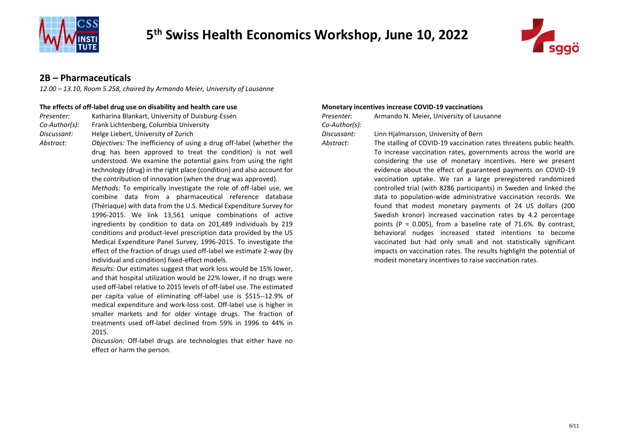



#### **2B – Pharmaceuticals**

*12.00 – 13.10, Room 5.258, chaired by Armando Meier, University of Lausanne*

#### **The effects of off-label drug use on disability and health care use Monetary incentives increase COVID-19 vaccinations**

| Presenter: | Katharina Blankart, University of Duisburg-Essen | Presenter: | Armando N. Meier, University of Lausanne |
|------------|--------------------------------------------------|------------|------------------------------------------|
|            |                                                  |            |                                          |

*Co-Author(s):* Frank Lichtenberg, Columbia University *Co-Author(s):*

*Discussant:* Helge Liebert, University of Zurich *Discussant:* Linn Hjalmarsson, University of Bern

- *Abstract: Objectives:* The inefficiency of using a drug off-label (whether the drug has been approved to treat the condition) is not well understood. We examine the potential gains from using the right technology (drug) in the right place (condition) and also account for the contribution of innovation (when the drug was approved). *Methods:* To empirically investigate the role of off-label use, we combine data from a pharmaceutical reference database (Thériaque) with data from the U.S. Medical Expenditure Survey for 1996-2015. We link 13,561 unique combinations of active ingredients by condition to data on 201,489 individuals by 219
	- conditions and product-level prescription data provided by the US Medical Expenditure Panel Survey, 1996-2015. To investigate the effect of the fraction of drugs used off-label we estimate 2-way (by individual and condition) fixed-effect models.
	- *Results:* Our estimates suggest that work loss would be 15% lower, and that hospital utilization would be 22% lower, if no drugs were used off-label relative to 2015 levels of off-label use. The estimated per capita value of eliminating off-label use is \$515--12.9% of medical expenditure and work-loss cost. Off-label use is higher in smaller markets and for older vintage drugs. The fraction of treatments used off-label declined from 59% in 1996 to 44% in 2015.
	- *Discussion:* Off-label drugs are technologies that either have no effect or harm the person.

| resenter:     | Armando N. Meier, University of Lausanne |
|---------------|------------------------------------------|
| co-Author(s): |                                          |

- 
- *Abstract:* The stalling of COVID-19 vaccination rates threatens public health. To increase vaccination rates, governments across the world are considering the use of monetary incentives. Here we present evidence about the effect of guaranteed payments on COVID-19 vaccination uptake. We ran a large preregistered randomized controlled trial (with 8286 participants) in Sweden and linked the data to population-wide administrative vaccination records. We found that modest monetary payments of 24 US dollars (200 Swedish kronor) increased vaccination rates by 4.2 percentage points (P =  $0.005$ ), from a baseline rate of 71.6%. By contrast, behavioral nudges increased stated intentions to become vaccinated but had only small and not statistically significant impacts on vaccination rates. The results highlight the potential of modest monetary incentives to raise vaccination rates.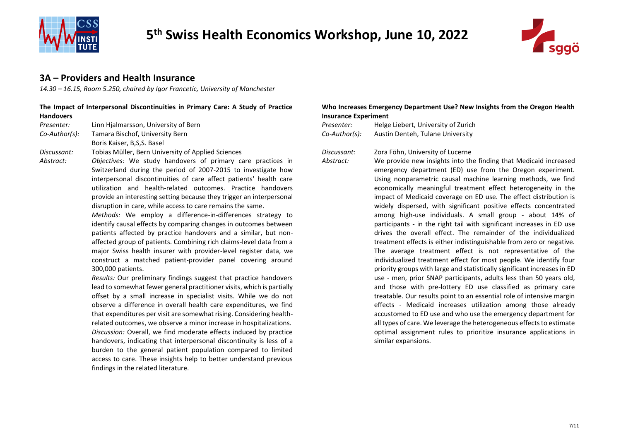



#### **3A – Providers and Health Insurance**

*14.30 – 16.15, Room 5.250, chaired by Igor Francetic, University of Manchester*

#### **The Impact of Interpersonal Discontinuities in Primary Care: A Study of Practice Handovers**

*Presenter:* Linn Hjalmarsson, University of Bern *Presenter:* Helge Liebert, University of Zurich

*Co-Author(s):* Tamara Bischof, University Bern

Boris Kaiser, B,S,S. Basel

*Discussant:* Tobias Müller, Bern University of Applied Sciences *Discussant:* Zora Föhn, University of Lucerne

*Abstract: Objectives:* We study handovers of primary care practices in Switzerland during the period of 2007-2015 to investigate how interpersonal discontinuities of care affect patients' health care utilization and health-related outcomes. Practice handovers provide an interesting setting because they trigger an interpersonal disruption in care, while access to care remains the same.

> *Methods:* We employ a difference-in-differences strategy to identify causal effects by comparing changes in outcomes between patients affected by practice handovers and a similar, but nonaffected group of patients. Combining rich claims-level data from a major Swiss health insurer with provider-level register data, we construct a matched patient-provider panel covering around 300,000 patients.

> *Results:* Our preliminary findings suggest that practice handovers lead to somewhat fewer general practitioner visits, which is partially offset by a small increase in specialist visits. While we do not observe a difference in overall health care expenditures, we find that expenditures per visit are somewhat rising. Considering healthrelated outcomes, we observe a minor increase in hospitalizations. *Discussion:* Overall, we find moderate effects induced by practice handovers, indicating that interpersonal discontinuity is less of a burden to the general patient population compared to limited access to care. These insights help to better understand previous findings in the related literature.

#### **Who Increases Emergency Department Use? New Insights from the Oregon Health Insurance Experiment**

*Co-Author(s):* Austin Denteh, Tulane University

*Abstract:* We provide new insights into the finding that Medicaid increased emergency department (ED) use from the Oregon experiment. Using nonparametric causal machine learning methods, we find economically meaningful treatment effect heterogeneity in the impact of Medicaid coverage on ED use. The effect distribution is widely dispersed, with significant positive effects concentrated among high-use individuals. A small group - about 14% of participants - in the right tail with significant increases in ED use drives the overall effect. The remainder of the individualized treatment effects is either indistinguishable from zero or negative. The average treatment effect is not representative of the individualized treatment effect for most people. We identify four priority groups with large and statistically significant increases in ED use - men, prior SNAP participants, adults less than 50 years old, and those with pre-lottery ED use classified as primary care treatable. Our results point to an essential role of intensive margin effects - Medicaid increases utilization among those already accustomed to ED use and who use the emergency department for all types of care. We leverage the heterogeneous effects to estimate optimal assignment rules to prioritize insurance applications in similar expansions.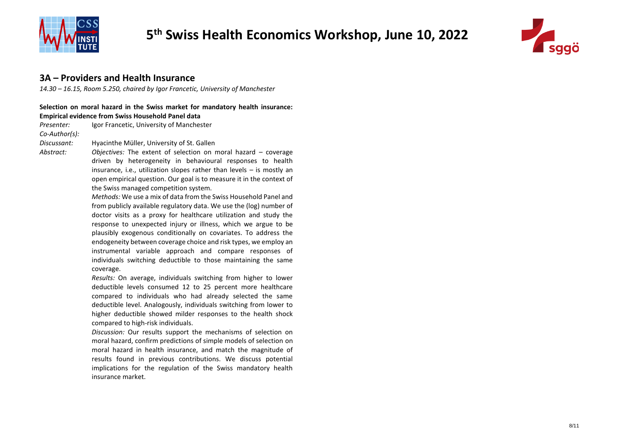



#### **3A – Providers and Health Insurance**

*14.30 – 16.15, Room 5.250, chaired by Igor Francetic, University of Manchester*

#### **Selection on moral hazard in the Swiss market for mandatory health insurance: Empirical evidence from Swiss Household Panel data**

*Presenter:* Igor Francetic, University of Manchester *Co-Author(s): Discussant:* Hyacinthe Müller, University of St. Gallen

*Abstract: Objectives:* The extent of selection on moral hazard – coverage driven by heterogeneity in behavioural responses to health insurance, i.e., utilization slopes rather than levels – is mostly an open empirical question. Our goal is to measure it in the context of the Swiss managed competition system.

> *Methods:* We use a mix of data from the Swiss Household Panel and from publicly available regulatory data. We use the (log) number of doctor visits as a proxy for healthcare utilization and study the response to unexpected injury or illness, which we argue to be plausibly exogenous conditionally on covariates. To address the endogeneity between coverage choice and risk types, we employ an instrumental variable approach and compare responses of individuals switching deductible to those maintaining the same coverage.

> *Results:* On average, individuals switching from higher to lower deductible levels consumed 12 to 25 percent more healthcare compared to individuals who had already selected the same deductible level. Analogously, individuals switching from lower to higher deductible showed milder responses to the health shock compared to high-risk individuals.

> *Discussion:* Our results support the mechanisms of selection on moral hazard, confirm predictions of simple models of selection on moral hazard in health insurance, and match the magnitude of results found in previous contributions. We discuss potential implications for the regulation of the Swiss mandatory health insurance market.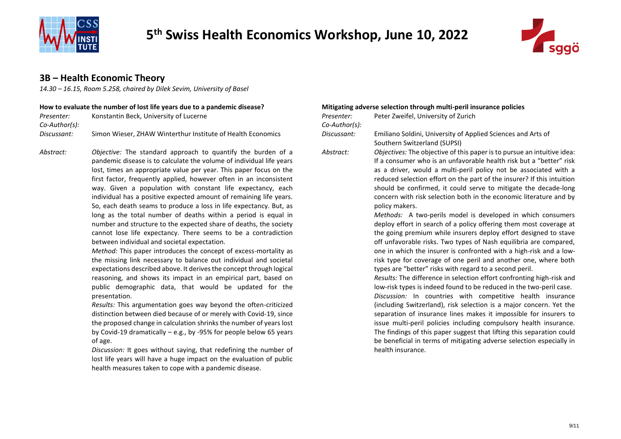



#### **3B – Health Economic Theory**

*14.30 – 16.15, Room 5.258, chaired by Dilek Sevim, University of Basel*

#### **How to evaluate the number of lost life years due to a pandemic disease? Mitigating adverse selection through multi-peril insurance policies**

| Presenter:    | Konstantin Beck, University of Lucerne                      | Presenter:    | Peter Zweifel, University of Zurich                          |
|---------------|-------------------------------------------------------------|---------------|--------------------------------------------------------------|
| Co-Author(s): |                                                             | Co-Author(s): |                                                              |
| Discussant:   | Simon Wieser, ZHAW Winterthur Institute of Health Economics | Discussant:   | Emiliano Soldini, University of Applied Sciences and Arts of |

*Abstract: Objective:* The standard approach to quantify the burden of a pandemic disease is to calculate the volume of individual life years lost, times an appropriate value per year. This paper focus on the first factor, frequently applied, however often in an inconsistent way. Given a population with constant life expectancy, each individual has a positive expected amount of remaining life years. So, each death seams to produce a loss in life expectancy. But, as long as the total number of deaths within a period is equal in number and structure to the expected share of deaths, the society cannot lose life expectancy. There seems to be a contradiction between individual and societal expectation.

> *Method:* This paper introduces the concept of excess-mortality as the missing link necessary to balance out individual and societal expectations described above. It derives the concept through logical reasoning, and shows its impact in an empirical part, based on public demographic data, that would be updated for the presentation.

> *Results:* This argumentation goes way beyond the often-criticized distinction between died because of or merely with Covid-19, since the proposed change in calculation shrinks the number of years lost by Covid-19 dramatically – e.g., by -95% for people below 65 years of age.

> *Discussion:* It goes without saying, that redefining the number of lost life years will have a huge impact on the evaluation of public health measures taken to cope with a pandemic disease.

health insurance.

| Presenter:    | Peter Zweifel, University of Zurich                                                                                                                                                                                                                                                                                                                                                                                                                                                                  |
|---------------|------------------------------------------------------------------------------------------------------------------------------------------------------------------------------------------------------------------------------------------------------------------------------------------------------------------------------------------------------------------------------------------------------------------------------------------------------------------------------------------------------|
| Co-Author(s): |                                                                                                                                                                                                                                                                                                                                                                                                                                                                                                      |
| Discussant:   | Emiliano Soldini, University of Applied Sciences and Arts of<br>Southern Switzerland (SUPSI)                                                                                                                                                                                                                                                                                                                                                                                                         |
| Abstract:     | Objectives: The objective of this paper is to pursue an intuitive idea:<br>If a consumer who is an unfavorable health risk but a "better" risk<br>as a driver, would a multi-peril policy not be associated with a<br>reduced selection effort on the part of the insurer? If this intuition<br>should be confirmed, it could serve to mitigate the decade-long<br>concern with risk selection both in the economic literature and by<br>policy makers.                                              |
|               | Methods: A two-perils model is developed in which consumers<br>deploy effort in search of a policy offering them most coverage at<br>the going premium while insurers deploy effort designed to stave<br>off unfavorable risks. Two types of Nash equilibria are compared,<br>one in which the insurer is confronted with a high-risk and a low-<br>risk type for coverage of one peril and another one, where both<br>types are "better" risks with regard to a second peril.                       |
|               | Results: The difference in selection effort confronting high-risk and<br>low-risk types is indeed found to be reduced in the two-peril case.<br>Discussion: In countries with competitive health insurance<br>(including Switzerland), risk selection is a major concern. Yet the<br>separation of insurance lines makes it impossible for insurers to<br>issue multi-peril policies including compulsory health insurance.<br>The findings of this paper suggest that lifting this separation could |

be beneficial in terms of mitigating adverse selection especially in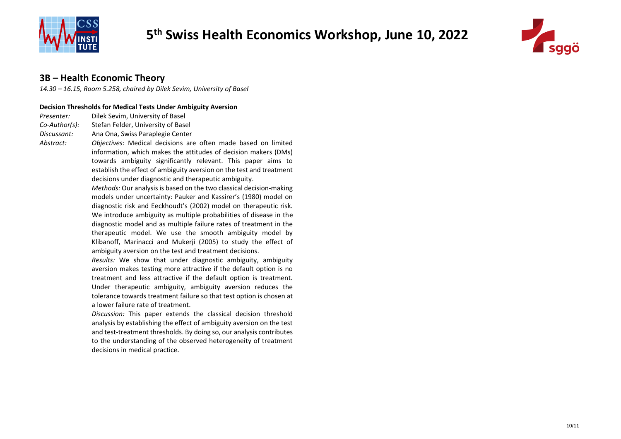



### **3B – Health Economic Theory**

*14.30 – 16.15, Room 5.258, chaired by Dilek Sevim, University of Basel*

#### **Decision Thresholds for Medical Tests Under Ambiguity Aversion**

*Presenter:* Dilek Sevim, University of Basel

*Co-Author(s):* Stefan Felder, University of Basel

*Discussant:* Ana Ona, Swiss Paraplegie Center

*Abstract: Objectives:* Medical decisions are often made based on limited information, which makes the attitudes of decision makers (DMs) towards ambiguity significantly relevant. This paper aims to establish the effect of ambiguity aversion on the test and treatment decisions under diagnostic and therapeutic ambiguity.

> *Methods:* Our analysis is based on the two classical decision-making models under uncertainty: Pauker and Kassirer's (1980) model on diagnostic risk and Eeckhoudt's (2002) model on therapeutic risk. We introduce ambiguity as multiple probabilities of disease in the diagnostic model and as multiple failure rates of treatment in the therapeutic model. We use the smooth ambiguity model by Klibanoff, Marinacci and Mukerji (2005) to study the effect of ambiguity aversion on the test and treatment decisions.

> *Results:* We show that under diagnostic ambiguity, ambiguity aversion makes testing more attractive if the default option is no treatment and less attractive if the default option is treatment. Under therapeutic ambiguity, ambiguity aversion reduces the tolerance towards treatment failure so that test option is chosen at a lower failure rate of treatment.

> *Discussion:* This paper extends the classical decision threshold analysis by establishing the effect of ambiguity aversion on the test and test-treatment thresholds. By doing so, our analysis contributes to the understanding of the observed heterogeneity of treatment decisions in medical practice.